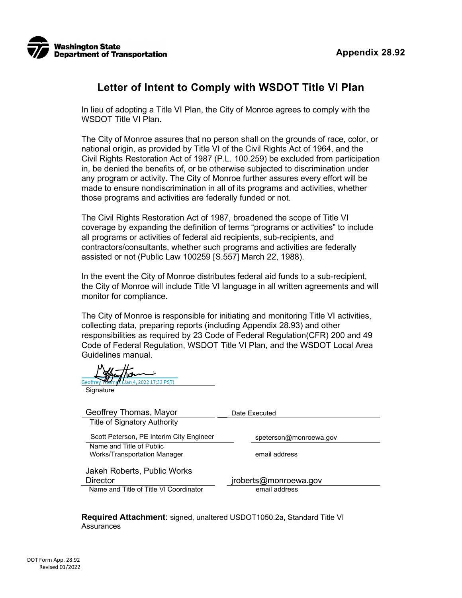

## **Letter of Intent to Comply with WSDOT Title VI Plan**

In lieu of adopting a Title VI Plan, the City of Monroe agrees to comply with the WSDOT Title VI Plan.

The City of Monroe assures that no person shall on the grounds of race, color, or national origin, as provided by Title VI of the Civil Rights Act of 1964, and the Civil Rights Restoration Act of 1987 (P.L. 100.259) be excluded from participation in, be denied the benefits of, or be otherwise subjected to discrimination under any program or activity. The City of Monroe further assures every effort will be made to ensure nondiscrimination in all of its programs and activities, whether those programs and activities are federally funded or not.

The Civil Rights Restoration Act of 1987, broadened the scope of Title VI coverage by expanding the definition of terms "programs or activities" to include all programs or activities of federal aid recipients, sub-recipients, and contractors/consultants, whether such programs and activities are federally assisted or not (Public Law 100259 [S.557] March 22, 1988).

In the event the City of Monroe distributes federal aid funds to a sub-recipient, the City of Monroe will include Title VI language in all written agreements and will monitor for compliance.

The City of Monroe is responsible for initiating and monitoring Title VI activities, collecting data, preparing reports (including Appendix 28.93) and other responsibilities as required by 23 Code of Federal Regulation(CFR) 200 and 49 Code of Federal Regulation, WSDOT Title VI Plan, and the WSDOT Local Area Guidelines manual.

Signature [Geoffrey Thomas \(Jan 4, 2022 17:33 PST\)](https://na1.documents.adobe.com/verifier?tx=CBJCHBCAABAA_Oy7vPfzLkSmEVxWRgYJdopHSjj4Ekjj)

| Date Executed          |
|------------------------|
|                        |
| speterson@monroewa.gov |
|                        |
| email address          |
|                        |
| jroberts@monroewa.gov  |
| email address          |
|                        |

**Required Attachment**: signed, unaltered USDOT1050.2a, Standard Title VI **Assurances**